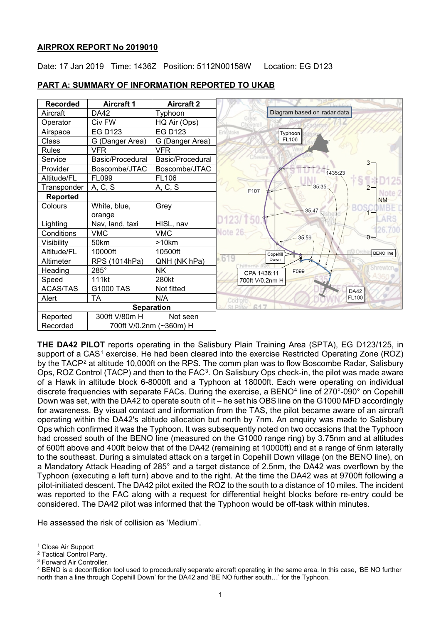## **AIRPROX REPORT No 2019010**

Date: 17 Jan 2019 Time: 1436Z Position: 5112N00158W Location: EG D123



## **PART A: SUMMARY OF INFORMATION REPORTED TO UKAB**

**THE DA42 PILOT** reports operating in the Salisbury Plain Training Area (SPTA), EG D123/125, in support of a CAS<sup>[1](#page-0-0)</sup> exercise. He had been cleared into the exercise Restricted Operating Zone (ROZ) by the TACP<sup>[2](#page-0-1)</sup> at altitude 10,000ft on the RPS. The comm plan was to flow Boscombe Radar, Salisbury Ops, ROZ Control (TACP) and then to the FAC<sup>[3](#page-0-2)</sup>. On Salisbury Ops check-in, the pilot was made aware of a Hawk in altitude block 6-8000ft and a Typhoon at 18000ft. Each were operating on individual discrete frequencies with separate FACs. During the exercise, a BENO<sup>[4](#page-0-3)</sup> line of 270°-090° on Copehill Down was set, with the DA42 to operate south of it – he set his OBS line on the G1000 MFD accordingly for awareness. By visual contact and information from the TAS, the pilot became aware of an aircraft operating within the DA42's altitude allocation but north by 7nm. An enquiry was made to Salisbury Ops which confirmed it was the Typhoon. It was subsequently noted on two occasions that the Typhoon had crossed south of the BENO line (measured on the G1000 range ring) by 3.75nm and at altitudes of 600ft above and 400ft below that of the DA42 (remaining at 10000ft) and at a range of 6nm laterally to the southeast. During a simulated attack on a target in Copehill Down village (on the BENO line), on a Mandatory Attack Heading of 285° and a target distance of 2.5nm, the DA42 was overflown by the Typhoon (executing a left turn) above and to the right. At the time the DA42 was at 9700ft following a pilot-initiated descent. The DA42 pilot exited the ROZ to the south to a distance of 10 miles. The incident was reported to the FAC along with a request for differential height blocks before re-entry could be considered. The DA42 pilot was informed that the Typhoon would be off-task within minutes.

He assessed the risk of collision as 'Medium'.

 $\overline{a}$ <sup>1</sup> Close Air Support

<span id="page-0-1"></span><span id="page-0-0"></span><sup>2</sup> Tactical Control Party.

<span id="page-0-2"></span><sup>3</sup> Forward Air Controller.

<span id="page-0-3"></span><sup>4</sup> BENO is a deconfliction tool used to procedurally separate aircraft operating in the same area. In this case, 'BE NO further north than a line through Copehill Down' for the DA42 and 'BE NO further south…' for the Typhoon.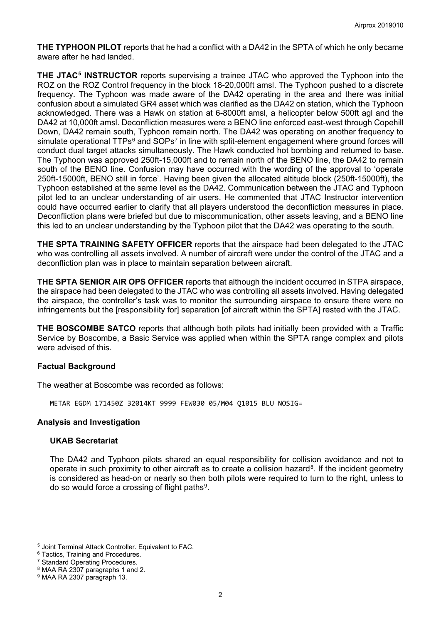**THE TYPHOON PILOT** reports that he had a conflict with a DA42 in the SPTA of which he only became aware after he had landed.

**THE JTAC[5](#page-1-0) INSTRUCTOR** reports supervising a trainee JTAC who approved the Typhoon into the ROZ on the ROZ Control frequency in the block 18-20,000ft amsl. The Typhoon pushed to a discrete frequency. The Typhoon was made aware of the DA42 operating in the area and there was initial confusion about a simulated GR4 asset which was clarified as the DA42 on station, which the Typhoon acknowledged. There was a Hawk on station at 6-8000ft amsl, a helicopter below 500ft agl and the DA42 at 10,000ft amsl. Deconfliction measures were a BENO line enforced east-west through Copehill Down, DA42 remain south, Typhoon remain north. The DA42 was operating on another frequency to simulate operational TTPs<sup>[6](#page-1-1)</sup> and SOPs<sup>[7](#page-1-2)</sup> in line with split-element engagement where ground forces will conduct dual target attacks simultaneously. The Hawk conducted hot bombing and returned to base. The Typhoon was approved 250ft-15,000ft and to remain north of the BENO line, the DA42 to remain south of the BENO line. Confusion may have occurred with the wording of the approval to 'operate 250ft-15000ft, BENO still in force'. Having been given the allocated altitude block (250ft-15000ft), the Typhoon established at the same level as the DA42. Communication between the JTAC and Typhoon pilot led to an unclear understanding of air users. He commented that JTAC Instructor intervention could have occurred earlier to clarify that all players understood the deconfliction measures in place. Deconfliction plans were briefed but due to miscommunication, other assets leaving, and a BENO line this led to an unclear understanding by the Typhoon pilot that the DA42 was operating to the south.

**THE SPTA TRAINING SAFETY OFFICER** reports that the airspace had been delegated to the JTAC who was controlling all assets involved. A number of aircraft were under the control of the JTAC and a deconfliction plan was in place to maintain separation between aircraft.

**THE SPTA SENIOR AIR OPS OFFICER** reports that although the incident occurred in STPA airspace, the airspace had been delegated to the JTAC who was controlling all assets involved. Having delegated the airspace, the controller's task was to monitor the surrounding airspace to ensure there were no infringements but the [responsibility for] separation [of aircraft within the SPTA] rested with the JTAC.

**THE BOSCOMBE SATCO** reports that although both pilots had initially been provided with a Traffic Service by Boscombe, a Basic Service was applied when within the SPTA range complex and pilots were advised of this.

# **Factual Background**

The weather at Boscombe was recorded as follows:

METAR EGDM 171450Z 32014KT 9999 FEW030 05/M04 Q1015 BLU NOSIG=

#### **Analysis and Investigation**

#### **UKAB Secretariat**

The DA42 and Typhoon pilots shared an equal responsibility for collision avoidance and not to operate in such proximity to other aircraft as to create a collision hazard<sup>[8](#page-1-3)</sup>. If the incident geometry is considered as head-on or nearly so then both pilots were required to turn to the right, unless to do so would force a crossing of flight paths<sup>9</sup>.

 $\overline{a}$ 

<span id="page-1-0"></span><sup>5</sup> Joint Terminal Attack Controller. Equivalent to FAC.

<span id="page-1-1"></span><sup>6</sup> Tactics, Training and Procedures.

<span id="page-1-2"></span><sup>7</sup> Standard Operating Procedures.

<span id="page-1-3"></span><sup>8</sup> MAA RA 2307 paragraphs 1 and 2.

<span id="page-1-4"></span><sup>&</sup>lt;sup>9</sup> MAA RA 2307 paragraph 13.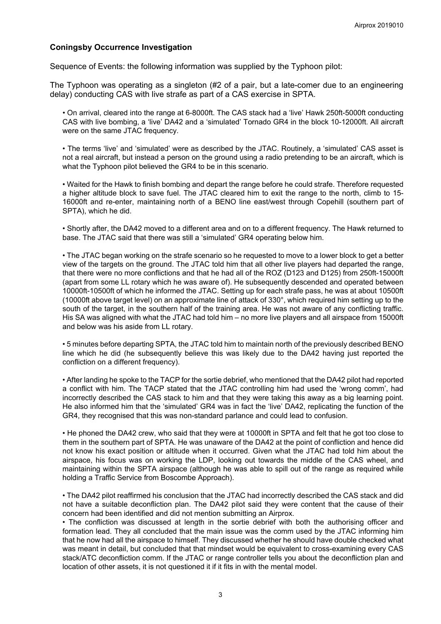## **Coningsby Occurrence Investigation**

Sequence of Events: the following information was supplied by the Typhoon pilot:

The Typhoon was operating as a singleton (#2 of a pair, but a late-comer due to an engineering delay) conducting CAS with live strafe as part of a CAS exercise in SPTA.

• On arrival, cleared into the range at 6-8000ft. The CAS stack had a 'live' Hawk 250ft-5000ft conducting CAS with live bombing, a 'live' DA42 and a 'simulated' Tornado GR4 in the block 10-12000ft. All aircraft were on the same JTAC frequency.

• The terms 'live' and 'simulated' were as described by the JTAC. Routinely, a 'simulated' CAS asset is not a real aircraft, but instead a person on the ground using a radio pretending to be an aircraft, which is what the Typhoon pilot believed the GR4 to be in this scenario.

• Waited for the Hawk to finish bombing and depart the range before he could strafe. Therefore requested a higher altitude block to save fuel. The JTAC cleared him to exit the range to the north, climb to 15- 16000ft and re-enter, maintaining north of a BENO line east/west through Copehill (southern part of SPTA), which he did.

• Shortly after, the DA42 moved to a different area and on to a different frequency. The Hawk returned to base. The JTAC said that there was still a 'simulated' GR4 operating below him.

• The JTAC began working on the strafe scenario so he requested to move to a lower block to get a better view of the targets on the ground. The JTAC told him that all other live players had departed the range, that there were no more conflictions and that he had all of the ROZ (D123 and D125) from 250ft-15000ft (apart from some LL rotary which he was aware of). He subsequently descended and operated between 10000ft-10500ft of which he informed the JTAC. Setting up for each strafe pass, he was at about 10500ft (10000ft above target level) on an approximate line of attack of 330°, which required him setting up to the south of the target, in the southern half of the training area. He was not aware of any conflicting traffic. His SA was aligned with what the JTAC had told him – no more live players and all airspace from 15000ft and below was his aside from LL rotary.

• 5 minutes before departing SPTA, the JTAC told him to maintain north of the previously described BENO line which he did (he subsequently believe this was likely due to the DA42 having just reported the confliction on a different frequency).

• After landing he spoke to the TACP for the sortie debrief, who mentioned that the DA42 pilot had reported a conflict with him. The TACP stated that the JTAC controlling him had used the 'wrong comm', had incorrectly described the CAS stack to him and that they were taking this away as a big learning point. He also informed him that the 'simulated' GR4 was in fact the 'live' DA42, replicating the function of the GR4, they recognised that this was non-standard parlance and could lead to confusion.

• He phoned the DA42 crew, who said that they were at 10000ft in SPTA and felt that he got too close to them in the southern part of SPTA. He was unaware of the DA42 at the point of confliction and hence did not know his exact position or altitude when it occurred. Given what the JTAC had told him about the airspace, his focus was on working the LDP, looking out towards the middle of the CAS wheel, and maintaining within the SPTA airspace (although he was able to spill out of the range as required while holding a Traffic Service from Boscombe Approach).

• The DA42 pilot reaffirmed his conclusion that the JTAC had incorrectly described the CAS stack and did not have a suitable deconfliction plan. The DA42 pilot said they were content that the cause of their concern had been identified and did not mention submitting an Airprox.

• The confliction was discussed at length in the sortie debrief with both the authorising officer and formation lead. They all concluded that the main issue was the comm used by the JTAC informing him that he now had all the airspace to himself. They discussed whether he should have double checked what was meant in detail, but concluded that that mindset would be equivalent to cross-examining every CAS stack/ATC deconfliction comm. If the JTAC or range controller tells you about the deconfliction plan and location of other assets, it is not questioned it if it fits in with the mental model.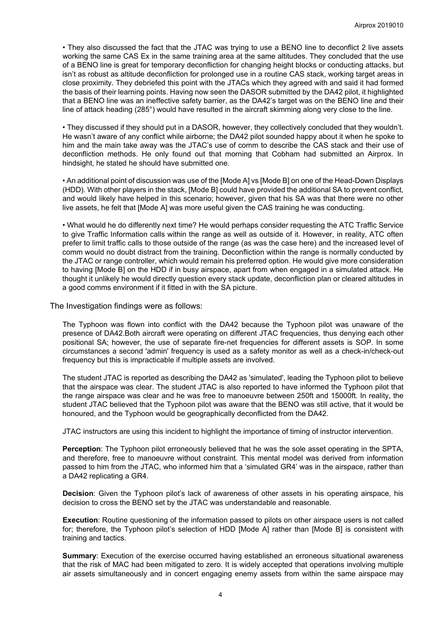• They also discussed the fact that the JTAC was trying to use a BENO line to deconflict 2 live assets working the same CAS Ex in the same training area at the same altitudes. They concluded that the use of a BENO line is great for temporary deconfliction for changing height blocks or conducting attacks, but isn't as robust as altitude deconfliction for prolonged use in a routine CAS stack, working target areas in close proximity. They debriefed this point with the JTACs which they agreed with and said it had formed the basis of their learning points. Having now seen the DASOR submitted by the DA42 pilot, it highlighted that a BENO line was an ineffective safety barrier, as the DA42's target was on the BENO line and their line of attack heading (285°) would have resulted in the aircraft skimming along very close to the line.

• They discussed if they should put in a DASOR, however, they collectively concluded that they wouldn't. He wasn't aware of any conflict while airborne; the DA42 pilot sounded happy about it when he spoke to him and the main take away was the JTAC's use of comm to describe the CAS stack and their use of deconfliction methods. He only found out that morning that Cobham had submitted an Airprox. In hindsight, he stated he should have submitted one.

• An additional point of discussion was use of the [Mode A] vs [Mode B] on one of the Head-Down Displays (HDD). With other players in the stack, [Mode B] could have provided the additional SA to prevent conflict, and would likely have helped in this scenario; however, given that his SA was that there were no other live assets, he felt that [Mode A] was more useful given the CAS training he was conducting.

• What would he do differently next time? He would perhaps consider requesting the ATC Traffic Service to give Traffic Information calls within the range as well as outside of it. However, in reality, ATC often prefer to limit traffic calls to those outside of the range (as was the case here) and the increased level of comm would no doubt distract from the training. Deconfliction within the range is normally conducted by the JTAC or range controller, which would remain his preferred option. He would give more consideration to having [Mode B] on the HDD if in busy airspace, apart from when engaged in a simulated attack. He thought it unlikely he would directly question every stack update, deconfliction plan or cleared altitudes in a good comms environment if it fitted in with the SA picture.

The Investigation findings were as follows:

The Typhoon was flown into conflict with the DA42 because the Typhoon pilot was unaware of the presence of DA42.Both aircraft were operating on different JTAC frequencies, thus denying each other positional SA; however, the use of separate fire-net frequencies for different assets is SOP. In some circumstances a second 'admin' frequency is used as a safety monitor as well as a check-in/check-out frequency but this is impracticable if multiple assets are involved.

The student JTAC is reported as describing the DA42 as 'simulated', leading the Typhoon pilot to believe that the airspace was clear. The student JTAC is also reported to have informed the Typhoon pilot that the range airspace was clear and he was free to manoeuvre between 250ft and 15000ft. In reality, the student JTAC believed that the Typhoon pilot was aware that the BENO was still active, that it would be honoured, and the Typhoon would be geographically deconflicted from the DA42.

JTAC instructors are using this incident to highlight the importance of timing of instructor intervention.

**Perception**: The Typhoon pilot erroneously believed that he was the sole asset operating in the SPTA, and therefore, free to manoeuvre without constraint. This mental model was derived from information passed to him from the JTAC, who informed him that a 'simulated GR4' was in the airspace, rather than a DA42 replicating a GR4.

**Decision**: Given the Typhoon pilot's lack of awareness of other assets in his operating airspace, his decision to cross the BENO set by the JTAC was understandable and reasonable.

**Execution**: Routine questioning of the information passed to pilots on other airspace users is not called for; therefore, the Typhoon pilot's selection of HDD [Mode A] rather than [Mode B] is consistent with training and tactics.

**Summary**: Execution of the exercise occurred having established an erroneous situational awareness that the risk of MAC had been mitigated to zero. It is widely accepted that operations involving multiple air assets simultaneously and in concert engaging enemy assets from within the same airspace may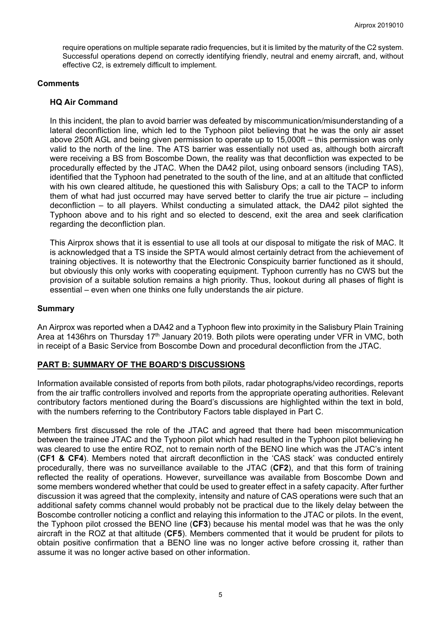require operations on multiple separate radio frequencies, but it is limited by the maturity of the C2 system. Successful operations depend on correctly identifying friendly, neutral and enemy aircraft, and, without effective C2, is extremely difficult to implement.

### **Comments**

### **HQ Air Command**

In this incident, the plan to avoid barrier was defeated by miscommunication/misunderstanding of a lateral deconfliction line, which led to the Typhoon pilot believing that he was the only air asset above 250ft AGL and being given permission to operate up to 15,000ft – this permission was only valid to the north of the line. The ATS barrier was essentially not used as, although both aircraft were receiving a BS from Boscombe Down, the reality was that deconfliction was expected to be procedurally effected by the JTAC. When the DA42 pilot, using onboard sensors (including TAS), identified that the Typhoon had penetrated to the south of the line, and at an altitude that conflicted with his own cleared altitude, he questioned this with Salisbury Ops; a call to the TACP to inform them of what had just occurred may have served better to clarify the true air picture – including deconfliction – to all players. Whilst conducting a simulated attack, the DA42 pilot sighted the Typhoon above and to his right and so elected to descend, exit the area and seek clarification regarding the deconfliction plan.

This Airprox shows that it is essential to use all tools at our disposal to mitigate the risk of MAC. It is acknowledged that a TS inside the SPTA would almost certainly detract from the achievement of training objectives. It is noteworthy that the Electronic Conspicuity barrier functioned as it should, but obviously this only works with cooperating equipment. Typhoon currently has no CWS but the provision of a suitable solution remains a high priority. Thus, lookout during all phases of flight is essential – even when one thinks one fully understands the air picture.

## **Summary**

An Airprox was reported when a DA42 and a Typhoon flew into proximity in the Salisbury Plain Training Area at 1436hrs on Thursday 17<sup>th</sup> January 2019. Both pilots were operating under VFR in VMC, both in receipt of a Basic Service from Boscombe Down and procedural deconfliction from the JTAC.

# **PART B: SUMMARY OF THE BOARD'S DISCUSSIONS**

Information available consisted of reports from both pilots, radar photographs/video recordings, reports from the air traffic controllers involved and reports from the appropriate operating authorities. Relevant contributory factors mentioned during the Board's discussions are highlighted within the text in bold, with the numbers referring to the Contributory Factors table displayed in Part C.

Members first discussed the role of the JTAC and agreed that there had been miscommunication between the trainee JTAC and the Typhoon pilot which had resulted in the Typhoon pilot believing he was cleared to use the entire ROZ, not to remain north of the BENO line which was the JTAC's intent (**CF1 & CF4**). Members noted that aircraft deconfliction in the 'CAS stack' was conducted entirely procedurally, there was no surveillance available to the JTAC (**CF2**), and that this form of training reflected the reality of operations. However, surveillance was available from Boscombe Down and some members wondered whether that could be used to greater effect in a safety capacity. After further discussion it was agreed that the complexity, intensity and nature of CAS operations were such that an additional safety comms channel would probably not be practical due to the likely delay between the Boscombe controller noticing a conflict and relaying this information to the JTAC or pilots. In the event, the Typhoon pilot crossed the BENO line (**CF3**) because his mental model was that he was the only aircraft in the ROZ at that altitude (**CF5**). Members commented that it would be prudent for pilots to obtain positive confirmation that a BENO line was no longer active before crossing it, rather than assume it was no longer active based on other information.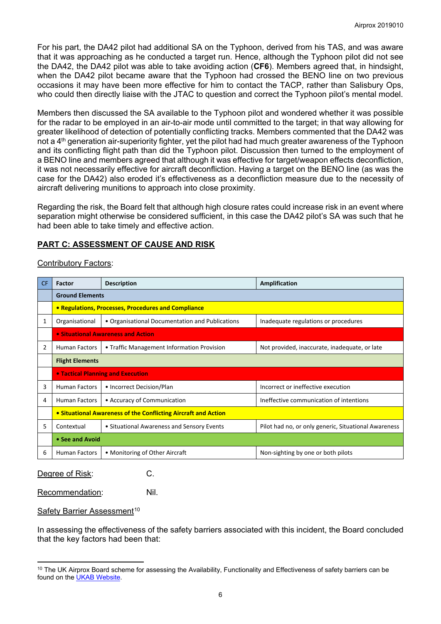For his part, the DA42 pilot had additional SA on the Typhoon, derived from his TAS, and was aware that it was approaching as he conducted a target run. Hence, although the Typhoon pilot did not see the DA42, the DA42 pilot was able to take avoiding action (**CF6**). Members agreed that, in hindsight, when the DA42 pilot became aware that the Typhoon had crossed the BENO line on two previous occasions it may have been more effective for him to contact the TACP, rather than Salisbury Ops, who could then directly liaise with the JTAC to question and correct the Typhoon pilot's mental model.

Members then discussed the SA available to the Typhoon pilot and wondered whether it was possible for the radar to be employed in an air-to-air mode until committed to the target; in that way allowing for greater likelihood of detection of potentially conflicting tracks. Members commented that the DA42 was not a 4<sup>th</sup> generation air-superiority fighter, yet the pilot had had much greater awareness of the Typhoon and its conflicting flight path than did the Typhoon pilot. Discussion then turned to the employment of a BENO line and members agreed that although it was effective for target/weapon effects deconfliction, it was not necessarily effective for aircraft deconfliction. Having a target on the BENO line (as was the case for the DA42) also eroded it's effectiveness as a deconfliction measure due to the necessity of aircraft delivering munitions to approach into close proximity.

Regarding the risk, the Board felt that although high closure rates could increase risk in an event where separation might otherwise be considered sufficient, in this case the DA42 pilot's SA was such that he had been able to take timely and effective action.

# **PART C: ASSESSMENT OF CAUSE AND RISK**

## Contributory Factors:

| CF. | Factor                                                         | <b>Description</b>                              | Amplification                                        |  |  |  |  |  |  |
|-----|----------------------------------------------------------------|-------------------------------------------------|------------------------------------------------------|--|--|--|--|--|--|
|     | <b>Ground Elements</b>                                         |                                                 |                                                      |  |  |  |  |  |  |
|     | • Regulations, Processes, Procedures and Compliance            |                                                 |                                                      |  |  |  |  |  |  |
| 1   | Organisational                                                 | • Organisational Documentation and Publications | Inadequate regulations or procedures                 |  |  |  |  |  |  |
|     | • Situational Awareness and Action                             |                                                 |                                                      |  |  |  |  |  |  |
| 2   | <b>Human Factors</b>                                           | • Traffic Management Information Provision      | Not provided, inaccurate, inadequate, or late        |  |  |  |  |  |  |
|     | <b>Flight Elements</b>                                         |                                                 |                                                      |  |  |  |  |  |  |
|     | <b>• Tactical Planning and Execution</b>                       |                                                 |                                                      |  |  |  |  |  |  |
| 3   | <b>Human Factors</b>                                           | • Incorrect Decision/Plan                       | Incorrect or ineffective execution                   |  |  |  |  |  |  |
| 4   | <b>Human Factors</b>                                           | • Accuracy of Communication                     | Ineffective communication of intentions              |  |  |  |  |  |  |
|     | • Situational Awareness of the Conflicting Aircraft and Action |                                                 |                                                      |  |  |  |  |  |  |
| 5.  | Contextual                                                     | • Situational Awareness and Sensory Events      | Pilot had no, or only generic, Situational Awareness |  |  |  |  |  |  |
|     | • See and Avoid                                                |                                                 |                                                      |  |  |  |  |  |  |
| 6   | <b>Human Factors</b>                                           | • Monitoring of Other Aircraft                  | Non-sighting by one or both pilots                   |  |  |  |  |  |  |

Degree of Risk: C.

Recommendation: Nil.

Safety Barrier Assessment<sup>[10](#page-5-0)</sup>

 $\overline{a}$ 

In assessing the effectiveness of the safety barriers associated with this incident, the Board concluded that the key factors had been that:

<span id="page-5-0"></span> $10$  The UK Airprox Board scheme for assessing the Availability, Functionality and Effectiveness of safety barriers can be found on the [UKAB Website.](http://www.airproxboard.org.uk/Learn-more/Airprox-Barrier-Assessment/)